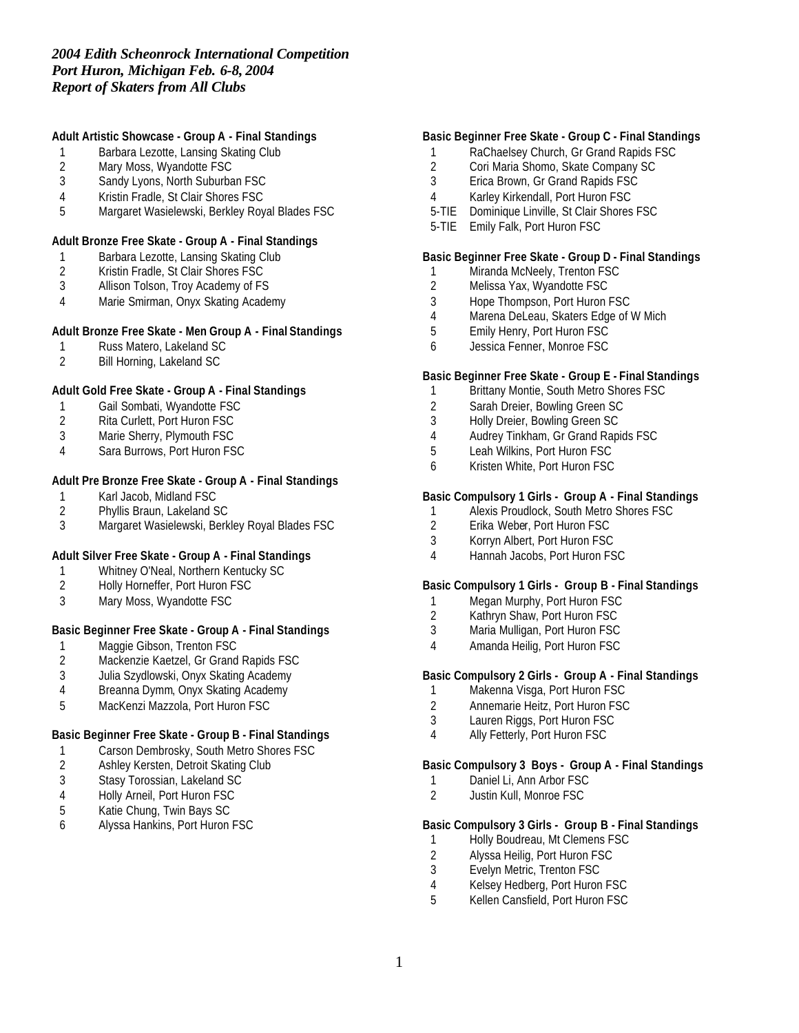# **Adult Artistic Showcase - Group A - Final Standings**

- 1 Barbara Lezotte, Lansing Skating Club<br>2 Mary Moss, Wyandotte FSC
- 2 Mary Moss, Wyandotte FSC<br>3 Sandy Lyons, North Suburba
- Sandy Lyons, North Suburban FSC
- 4 Kristin Fradle, St Clair Shores FSC
- 5 Margaret Wasielewski, Berkley Royal Blades FSC

#### **Adult Bronze Free Skate - Group A - Final Standings**

- 1 Barbara Lezotte, Lansing Skating Club
- 2 Kristin Fradle, St Clair Shores FSC
- 3 Allison Tolson, Troy Academy of FS
- 4 Marie Smirman, Onyx Skating Academy

#### **Adult Bronze Free Skate - Men Group A - Final Standings**

- 1 Russ Matero, Lakeland SC<br>2 Bill Horning, Lakeland SC
- 2 Bill Horning, Lakeland SC

## **Adult Gold Free Skate - Group A - Final Standings**

- 1 Gail Sombati, Wyandotte FSC
- 2 Rita Curlett, Port Huron FSC
- 3 Marie Sherry, Plymouth FSC
- 4 Sara Burrows, Port Huron FSC

## **Adult Pre Bronze Free Skate - Group A - Final Standings**

- 1 Karl Jacob, Midland FSC<br>2 Phyllis Braun, Lakeland S
- 2 Phyllis Braun, Lakeland SC<br>3 Margaret Wasielewski, Berk
- 3 Margaret Wasielewski, Berkley Royal Blades FSC

## **Adult Silver Free Skate - Group A - Final Standings**

- 1 Whitney O'Neal, Northern Kentucky SC<br>2 Holly Horneffer, Port Huron FSC
- 2 Holly Horneffer, Port Huron FSC
- 3 Mary Moss, Wyandotte FSC

## **Basic Beginner Free Skate - Group A - Final Standings**

- 1 Maggie Gibson, Trenton FSC<br>2 Mackenzie Kaetzel, Gr Grand
- Mackenzie Kaetzel, Gr Grand Rapids FSC
- 3 Julia Szydlowski, Onyx Skating Academy
- 4 Breanna Dymm, Onyx Skating Academy
- 5 MacKenzi Mazzola, Port Huron FSC

## **Basic Beginner Free Skate - Group B - Final Standings**

- 1 Carson Dembrosky, South Metro Shores FSC
- 2 Ashley Kersten, Detroit Skating Club
- 3 Stasy Torossian, Lakeland SC
- 4 Holly Arneil, Port Huron FSC<br>5 Katie Chung, Twin Bays SC
- 5 Katie Chung, Twin Bays SC<br>6 Alvssa Hankins, Port Huron
- 6 Alyssa Hankins, Port Huron FSC

#### **Basic Beginner Free Skate - Group C - Final Standings**

- 1 RaChaelsey Church, Gr Grand Rapids FSC
- 2 Cori Maria Shomo, Skate Company SC<br>3 Erica Brown, Gr Grand Rapids FSC
- 3 Erica Brown, Gr Grand Rapids FSC
- 4 Karley Kirkendall, Port Huron FSC
- 5-TIE Dominique Linville, St Clair Shores FSC
- 5-TIE Emily Falk, Port Huron FSC

#### **Basic Beginner Free Skate - Group D - Final Standings**

- 1 Miranda McNeely, Trenton FSC
- 2 Melissa Yax, Wyandotte FSC
- 3 Hope Thompson, Port Huron FSC
- 4 Marena DeLeau, Skaters Edge of W Mich
- 5 Emily Henry, Port Huron FSC
- 6 Jessica Fenner, Monroe FSC

#### **Basic Beginner Free Skate - Group E - Final Standings**

- 1 Brittany Montie, South Metro Shores FSC
- 2 Sarah Dreier, Bowling Green SC
- 3 Holly Dreier, Bowling Green SC
- 4 Audrey Tinkham, Gr Grand Rapids FSC
- 5 Leah Wilkins, Port Huron FSC
- 6 Kristen White, Port Huron FSC

## **Basic Compulsory 1 Girls - Group A - Final Standings**

- 1 Alexis Proudlock, South Metro Shores FSC<br>2 Erika Weber, Port Huron FSC
- 2 Erika Weber, Port Huron FSC
- 3 Korryn Albert, Port Huron FSC
- 4 Hannah Jacobs, Port Huron FSC

#### **Basic Compulsory 1 Girls - Group B - Final Standings**

- 1 Megan Murphy, Port Huron FSC
- 2 Kathryn Shaw, Port Huron FSC
- 3 Maria Mulligan, Port Huron FSC
- 4 Amanda Heilig, Port Huron FSC

## **Basic Compulsory 2 Girls - Group A - Final Standings**

- 1 Makenna Visga, Port Huron FSC
- 2 Annemarie Heitz, Port Huron FSC
- 3 Lauren Riggs, Port Huron FSC
- 4 Ally Fetterly, Port Huron FSC

#### **Basic Compulsory 3 Boys - Group A - Final Standings**

- 1 Daniel Li, Ann Arbor FSC
- 2 Justin Kull, Monroe FSC

# **Basic Compulsory 3 Girls - Group B - Final Standings**

- 1 Holly Boudreau, Mt Clemens FSC
- 2 Alyssa Heilig, Port Huron FSC<br>3 Evelvn Metric, Trenton FSC
- Evelyn Metric, Trenton FSC
- 4 Kelsey Hedberg, Port Huron FSC
- 5 Kellen Cansfield, Port Huron FSC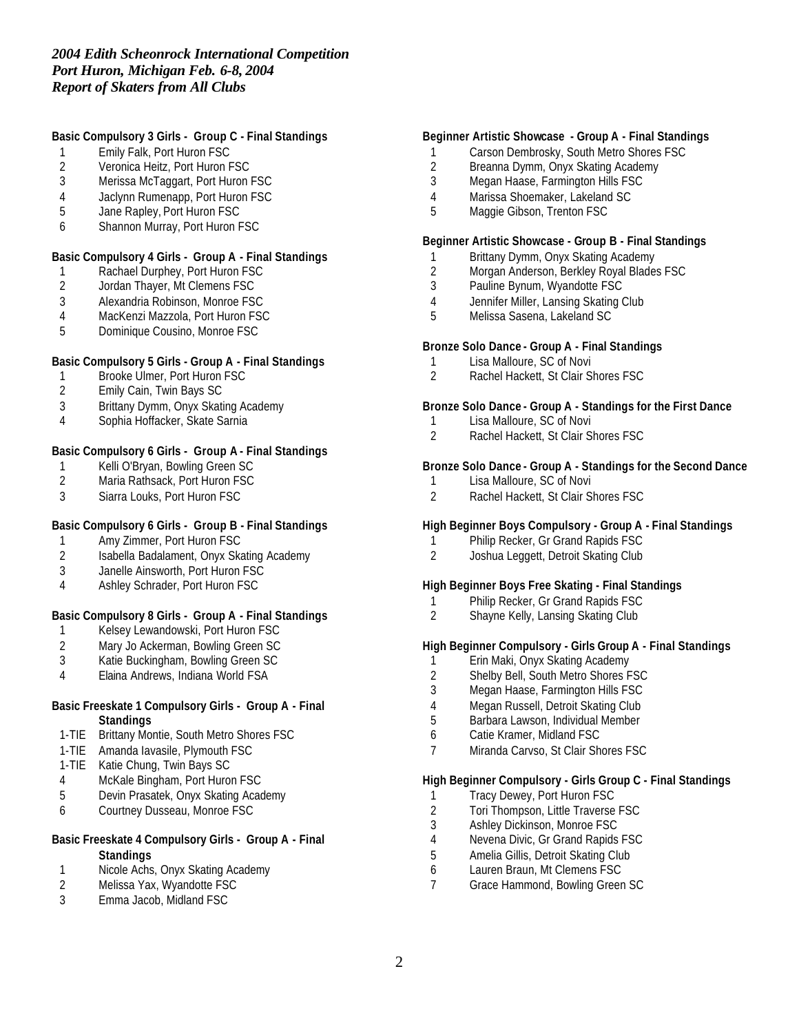## **Basic Compulsory 3 Girls - Group C - Final Standings**

- 1 Emily Falk, Port Huron FSC<br>2 Veronica Heitz, Port Huron F
- 2 Veronica Heitz, Port Huron FSC<br>3 Merissa McTaggart, Port Huron
- Merissa McTaggart, Port Huron FSC
- 4 Jaclynn Rumenapp, Port Huron FSC
- 5 Jane Rapley, Port Huron FSC
- 6 Shannon Murray, Port Huron FSC

#### **Basic Compulsory 4 Girls - Group A - Final Standings**

- 1 Rachael Durphey, Port Huron FSC
- 2 Jordan Thayer, Mt Clemens FSC
- 3 Alexandria Robinson, Monroe FSC
- 4 MacKenzi Mazzola, Port Huron FSC
- 5 Dominique Cousino, Monroe FSC

## **Basic Compulsory 5 Girls - Group A - Final Standings**

- 1 Brooke Ulmer, Port Huron FSC<br>2 Emily Cain, Twin Bays SC
- 2 Emily Cain, Twin Bays SC
- 3 Brittany Dymm, Onyx Skating Academy
- 4 Sophia Hoffacker, Skate Sarnia

## **Basic Compulsory 6 Girls - Group A - Final Standings**

- 1 Kelli O'Bryan, Bowling Green SC<br>2 Maria Rathsack, Port Huron FSC
- Maria Rathsack, Port Huron FSC
- 3 Siarra Louks, Port Huron FSC

## **Basic Compulsory 6 Girls - Group B - Final Standings**

- 1 Amy Zimmer, Port Huron FSC
- 2 Isabella Badalament, Onyx Skating Academy<br>3 Janelle Ainsworth. Port Huron FSC
- 3 Janelle Ainsworth, Port Huron FSC
- 4 Ashley Schrader, Port Huron FSC

## **Basic Compulsory 8 Girls - Group A - Final Standings**

- 1 Kelsey Lewandowski, Port Huron FSC
- 2 Mary Jo Ackerman, Bowling Green SC<br>3 Katie Buckingham, Bowling Green SC
- Katie Buckingham, Bowling Green SC
- 4 Elaina Andrews, Indiana World FSA

#### **Basic Freeskate 1 Compulsory Girls - Group A - Final Standings**

- 1-TIE Brittany Montie, South Metro Shores FSC
- 1-TIE Amanda Iavasile, Plymouth FSC
- 1-TIE Katie Chung, Twin Bays SC
- 4 McKale Bingham, Port Huron FSC
- 5 Devin Prasatek, Onyx Skating Academy
- 6 Courtney Dusseau, Monroe FSC

## **Basic Freeskate 4 Compulsory Girls - Group A - Final Standings**

- 1 Nicole Achs, Onyx Skating Academy<br>2 Melissa Yax. Wyandotte FSC
- Melissa Yax, Wyandotte FSC
- 3 Emma Jacob, Midland FSC

#### **Beginner Artistic Showcase - Group A - Final Standings**

- 1 Carson Dembrosky, South Metro Shores FSC
- 2 Breanna Dymm, Onyx Skating Academy<br>3 Megan Haase, Farmington Hills FSC
- 3 Megan Haase, Farmington Hills FSC
- 4 Marissa Shoemaker, Lakeland SC
- 5 Maggie Gibson, Trenton FSC

#### **Beginner Artistic Showcase - Group B - Final Standings**

- 1 Brittany Dymm, Onyx Skating Academy
- 2 Morgan Anderson, Berkley Royal Blades FSC
- 3 Pauline Bynum, Wyandotte FSC
- 4 Jennifer Miller, Lansing Skating Club
- 5 Melissa Sasena, Lakeland SC

#### **Bronze Solo Dance - Group A - Final Standings**

- 1 Lisa Malloure, SC of Novi
- 2 Rachel Hackett, St Clair Shores FSC

#### **Bronze Solo Dance - Group A - Standings for the First Dance**

- 1 Lisa Malloure, SC of Novi
- 2 Rachel Hackett, St Clair Shores FSC

#### **Bronze Solo Dance - Group A - Standings for the Second Dance**

- 1 Lisa Malloure, SC of Novi
- 2 Rachel Hackett, St Clair Shores FSC

## **High Beginner Boys Compulsory - Group A - Final Standings**

- 1 Philip Recker, Gr Grand Rapids FSC
- 2 Joshua Leggett, Detroit Skating Club

#### **High Beginner Boys Free Skating - Final Standings**

- 1 Philip Recker, Gr Grand Rapids FSC
- 2 Shayne Kelly, Lansing Skating Club

## **High Beginner Compulsory - Girls Group A - Final Standings**

- 
- 1 Erin Maki, Onyx Skating Academy<br>2 Shelby Bell, South Metro Shores F Shelby Bell, South Metro Shores FSC
- 3 Megan Haase, Farmington Hills FSC
- 4 Megan Russell, Detroit Skating Club
- 5 Barbara Lawson, Individual Member
- 6 Catie Kramer, Midland FSC
- 7 Miranda Carvso, St Clair Shores FSC

## **High Beginner Compulsory - Girls Group C - Final Standings**

- 1 Tracy Dewey, Port Huron FSC
- 2 Tori Thompson, Little Traverse FSC
- 3 Ashley Dickinson, Monroe FSC
- 4 Nevena Divic, Gr Grand Rapids FSC
- 5 Amelia Gillis, Detroit Skating Club
- 6 Lauren Braun, Mt Clemens FSC
- 7 Grace Hammond, Bowling Green SC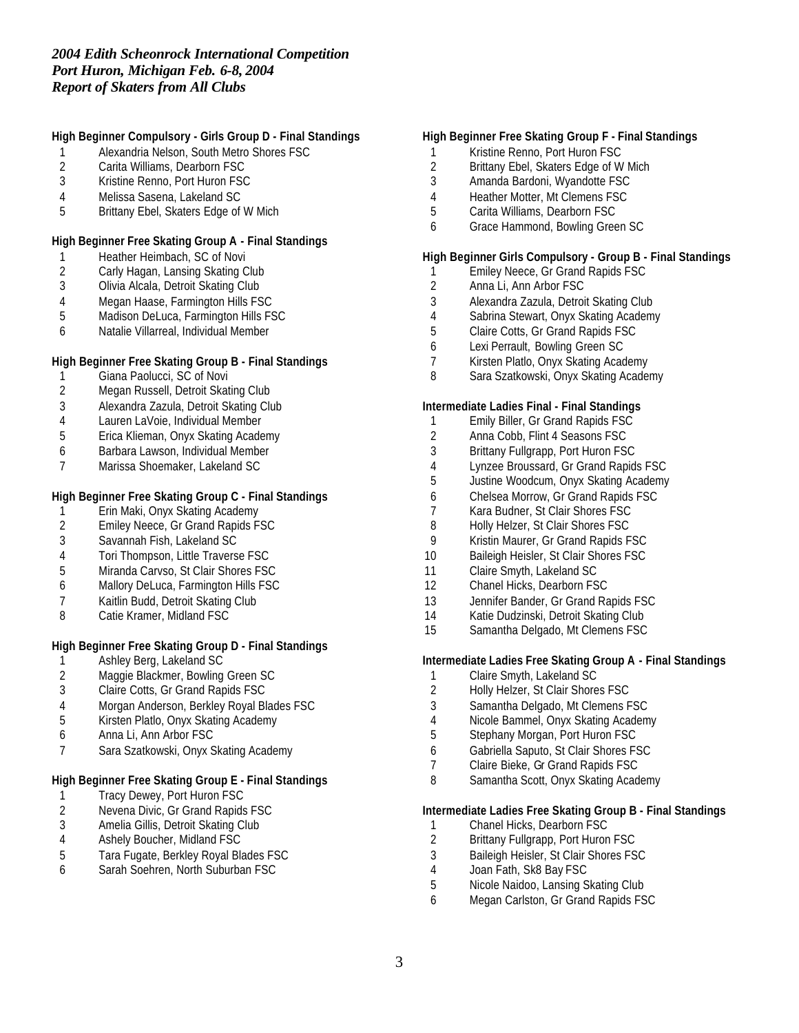# **High Beginner Compulsory - Girls Group D - Final Standings**

- Alexandria Nelson, South Metro Shores FSC
- 2 Carita Williams, Dearborn FSC<br>3 Kristine Renno, Port Huron FSC
- Kristine Renno, Port Huron FSC
- Melissa Sasena, Lakeland SC
- Brittany Ebel, Skaters Edge of W Mich

#### **High Beginner Free Skating Group A - Final Standings**

- 1 Heather Heimbach, SC of Novi
- Carly Hagan, Lansing Skating Club
- Olivia Alcala, Detroit Skating Club
- Megan Haase, Farmington Hills FSC
- Madison DeLuca, Farmington Hills FSC
- Natalie Villarreal, Individual Member

## **High Beginner Free Skating Group B - Final Standings**

- 1 Giana Paolucci, SC of Novi<br>2 Megan Russell, Detroit Skat
- Megan Russell, Detroit Skating Club
- Alexandra Zazula, Detroit Skating Club
- Lauren LaVoie, Individual Member
- Erica Klieman, Onyx Skating Academy
- Barbara Lawson, Individual Member
- Marissa Shoemaker, Lakeland SC

## **High Beginner Free Skating Group C - Final Standings**

- 1 Erin Maki, Onyx Skating Academy<br>2 Emiley Neece, Gr Grand Rapids F.
- 2 Emiley Neece, Gr Grand Rapids FSC<br>3 Savannah Fish, Lakeland SC
- Savannah Fish, Lakeland SC
- Tori Thompson, Little Traverse FSC
- Miranda Carvso, St Clair Shores FSC
- Mallory DeLuca, Farmington Hills FSC
- Kaitlin Budd, Detroit Skating Club
- Catie Kramer, Midland FSC

# **High Beginner Free Skating Group D - Final Standings**

- 1 Ashley Berg, Lakeland SC<br>2 Maggie Blackmer, Bowling
- 2 Maggie Blackmer, Bowling Green SC<br>3 Claire Cotts, Gr Grand Rapids FSC
- Claire Cotts, Gr Grand Rapids FSC
- Morgan Anderson, Berkley Royal Blades FSC
- Kirsten Platlo, Onyx Skating Academy
- Anna Li, Ann Arbor FSC
- Sara Szatkowski, Onyx Skating Academy

# **High Beginner Free Skating Group E - Final Standings**

- 1 Tracy Dewey, Port Huron FSC<br>2 Nevena Divic, Gr Grand Rapids
- 2 Nevena Divic, Gr Grand Rapids FSC<br>3 Amelia Gillis, Detroit Skating Club
- 3 Amelia Gillis, Detroit Skating Club<br>4 Ashely Boucher, Midland FSC
- Ashely Boucher, Midland FSC
- Tara Fugate, Berkley Royal Blades FSC
- Sarah Soehren, North Suburban FSC

## **High Beginner Free Skating Group F - Final Standings**

- Kristine Renno, Port Huron FSC
- 2 Brittany Ebel, Skaters Edge of W Mich<br>3 Amanda Bardoni. Wyandotte FSC
- Amanda Bardoni, Wyandotte FSC
- Heather Motter, Mt Clemens FSC
- Carita Williams, Dearborn FSC
- Grace Hammond, Bowling Green SC

## **High Beginner Girls Compulsory - Group B - Final Standings**

- Emiley Neece, Gr Grand Rapids FSC
- Anna Li, Ann Arbor FSC
- Alexandra Zazula, Detroit Skating Club
- Sabrina Stewart, Onyx Skating Academy
- Claire Cotts, Gr Grand Rapids FSC
- Lexi Perrault, Bowling Green SC
- Kirsten Platlo, Onyx Skating Academy
- Sara Szatkowski, Onyx Skating Academy

#### **Intermediate Ladies Final - Final Standings**

- Emily Biller, Gr Grand Rapids FSC
- Anna Cobb, Flint 4 Seasons FSC
- Brittany Fullgrapp, Port Huron FSC
- Lynzee Broussard, Gr Grand Rapids FSC
- Justine Woodcum, Onyx Skating Academy
- Chelsea Morrow, Gr Grand Rapids FSC
- Kara Budner, St Clair Shores FSC
- 8 Holly Helzer, St Clair Shores FSC
- Kristin Maurer, Gr Grand Rapids FSC
- 10 Baileigh Heisler, St Clair Shores FSC
- Claire Smyth, Lakeland SC
- Chanel Hicks, Dearborn FSC
- 13 Jennifer Bander, Gr Grand Rapids FSC
- Katie Dudzinski, Detroit Skating Club
- Samantha Delgado, Mt Clemens FSC

#### **Intermediate Ladies Free Skating Group A - Final Standings**

- Claire Smyth, Lakeland SC
- Holly Helzer, St Clair Shores FSC
- Samantha Delgado, Mt Clemens FSC
- Nicole Bammel, Onyx Skating Academy
- Stephany Morgan, Port Huron FSC
- Gabriella Saputo, St Clair Shores FSC
- Claire Bieke, Gr Grand Rapids FSC
- Samantha Scott, Onyx Skating Academy

## **Intermediate Ladies Free Skating Group B - Final Standings**

- 
- 1 Chanel Hicks, Dearborn FSC<br>2 Brittany Fullgrapp, Port Huron Brittany Fullgrapp, Port Huron FSC
- Baileigh Heisler, St Clair Shores FSC
- Joan Fath, Sk8 Bay FSC
- Nicole Naidoo, Lansing Skating Club
- Megan Carlston, Gr Grand Rapids FSC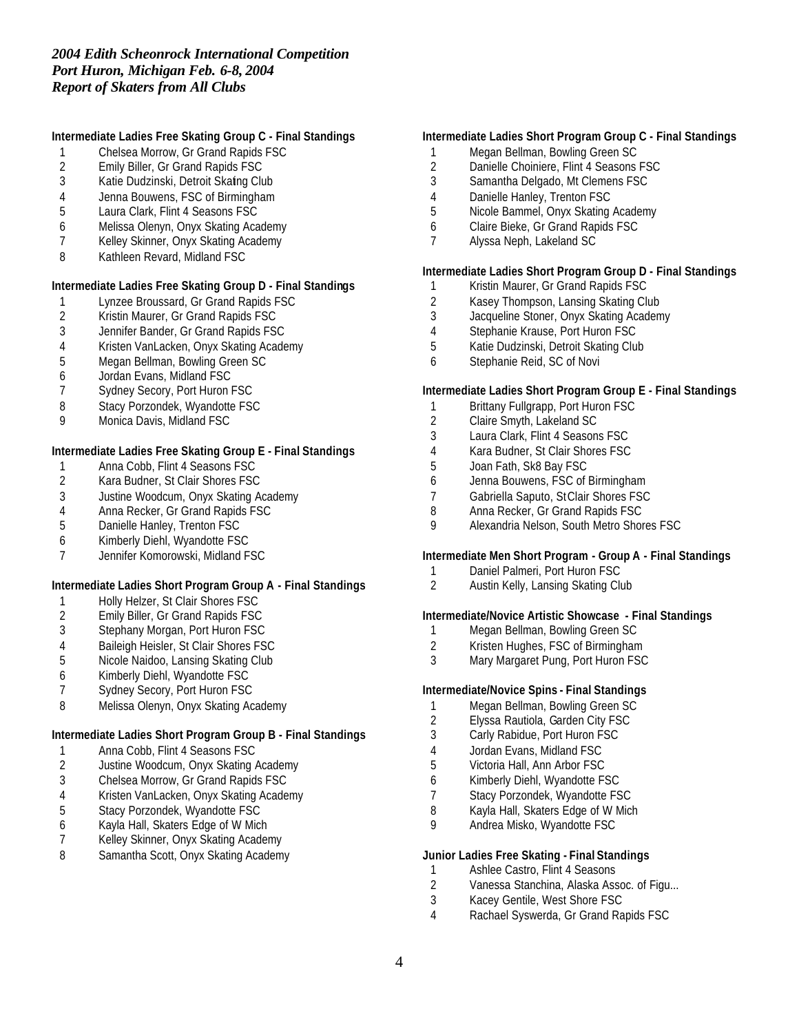## **Intermediate Ladies Free Skating Group C - Final Standings**

- 1 Chelsea Morrow, Gr Grand Rapids FSC<br>2 Emily Biller, Gr Grand Rapids FSC
- 2 Emily Biller, Gr Grand Rapids FSC<br>3 Katie Dudzinski, Detroit Skafng Clu
- Katie Dudzinski, Detroit Skating Club
- 4 Jenna Bouwens, FSC of Birmingham
- 5 Laura Clark, Flint 4 Seasons FSC
- 6 Melissa Olenyn, Onyx Skating Academy
- 7 Kelley Skinner, Onyx Skating Academy
- 8 Kathleen Revard, Midland FSC

## **Intermediate Ladies Free Skating Group D - Final Standings**

- 1 Lynzee Broussard, Gr Grand Rapids FSC<br>2 Kristin Maurer, Gr Grand Rapids FSC
- 2 Kristin Maurer, Gr Grand Rapids FSC<br>3 Jennifer Bander, Gr Grand Rapids FS
- 3 Jennifer Bander, Gr Grand Rapids FSC
- 4 Kristen VanLacken, Onyx Skating Academy
- 5 Megan Bellman, Bowling Green SC
- 6 Jordan Evans, Midland FSC
- 7 Sydney Secory, Port Huron FSC
- 8 Stacy Porzondek, Wyandotte FSC
- 9 Monica Davis, Midland FSC

#### **Intermediate Ladies Free Skating Group E - Final Standings**

- 1 Anna Cobb, Flint 4 Seasons FSC<br>2 Kara Budner, St Clair Shores FSC
- 2 Kara Budner, St Clair Shores FSC
- 3 Justine Woodcum, Onyx Skating Academy
- 4 Anna Recker, Gr Grand Rapids FSC<br>5 Danielle Hanley, Trenton FSC
- Danielle Hanley, Trenton FSC
- 6 Kimberly Diehl, Wyandotte FSC
- 7 Jennifer Komorowski, Midland FSC

## **Intermediate Ladies Short Program Group A - Final Standings**

- 1 Holly Helzer, St Clair Shores FSC
- 2 Emily Biller, Gr Grand Rapids FSC
- 3 Stephany Morgan, Port Huron FSC
- 4 Baileigh Heisler, St Clair Shores FSC<br>5 Nicole Naidoo, Lansing Skating Club
- Nicole Naidoo, Lansing Skating Club
- 6 Kimberly Diehl, Wyandotte FSC
- 7 Sydney Secory, Port Huron FSC
- 8 Melissa Olenyn, Onyx Skating Academy

#### **Intermediate Ladies Short Program Group B - Final Standings**

- 1 Anna Cobb, Flint 4 Seasons FSC
- 2 Justine Woodcum, Onyx Skating Academy
- 3 Chelsea Morrow, Gr Grand Rapids FSC
- 4 Kristen VanLacken, Onyx Skating Academy
- 5 Stacy Porzondek, Wyandotte FSC<br>6 Kayla Hall, Skaters Edge of W Mich
- 6 Kayla Hall, Skaters Edge of W Mich
- Kelley Skinner, Onyx Skating Academy
- 8 Samantha Scott, Onyx Skating Academy

## **Intermediate Ladies Short Program Group C - Final Standings**

- 1 Megan Bellman, Bowling Green SC
- 2 Danielle Choiniere, Flint 4 Seasons FSC<br>3 Samantha Delgado, Mt Clemens FSC
- Samantha Delgado, Mt Clemens FSC
- 4 Danielle Hanley, Trenton FSC
- 5 Nicole Bammel, Onyx Skating Academy
- 6 Claire Bieke, Gr Grand Rapids FSC
- 7 Alyssa Neph, Lakeland SC

## **Intermediate Ladies Short Program Group D - Final Standings**

- 1 Kristin Maurer, Gr Grand Rapids FSC
- 2 Kasey Thompson, Lansing Skating Club<br>3 Jacqueline Stoner, Onvx Skating Academ
- Jacqueline Stoner, Onyx Skating Academy
- 4 Stephanie Krause, Port Huron FSC
- 5 Katie Dudzinski, Detroit Skating Club
- 6 Stephanie Reid, SC of Novi

## **Intermediate Ladies Short Program Group E - Final Standings**

- 1 Brittany Fullgrapp, Port Huron FSC
- 2 Claire Smyth, Lakeland SC
- 3 Laura Clark, Flint 4 Seasons FSC
- 4 Kara Budner, St Clair Shores FSC
- 5 Joan Fath, Sk8 Bay FSC
- 6 Jenna Bouwens, FSC of Birmingham
- 7 Gabriella Saputo, St Clair Shores FSC
- 8 Anna Recker, Gr Grand Rapids FSC<br>9 Alexandria Nelson, South Metro Shor
- 9 Alexandria Nelson, South Metro Shores FSC

#### **Intermediate Men Short Program - Group A - Final Standings**

- 1 Daniel Palmeri, Port Huron FSC<br>2 Austin Kelly, Lansing Skating Clu
- Austin Kelly, Lansing Skating Club

#### **Intermediate/Novice Artistic Showcase - Final Standings**

- 1 Megan Bellman, Bowling Green SC
- 2 Kristen Hughes, FSC of Birmingham<br>3 Mary Margaret Pung, Port Huron FSC
- Mary Margaret Pung, Port Huron FSC

## **Intermediate/Novice Spins - Final Standings**

- 1 Megan Bellman, Bowling Green SC
- 2 Elyssa Rautiola, Garden City FSC
- 3 Carly Rabidue, Port Huron FSC
- 4 Jordan Evans, Midland FSC
- 5 Victoria Hall, Ann Arbor FSC
- 6 Kimberly Diehl, Wyandotte FSC
- 7 Stacy Porzondek, Wyandotte FSC
- 8 Kayla Hall, Skaters Edge of W Mich
- 9 Andrea Misko, Wyandotte FSC

#### **Junior Ladies Free Skating - Final Standings**

- 1 Ashlee Castro, Flint 4 Seasons<br>2 Vanessa Stanchina, Alaska Ass
- 2 Vanessa Stanchina, Alaska Assoc. of Figu...
- 3 Kacey Gentile, West Shore FSC
- 4 Rachael Syswerda, Gr Grand Rapids FSC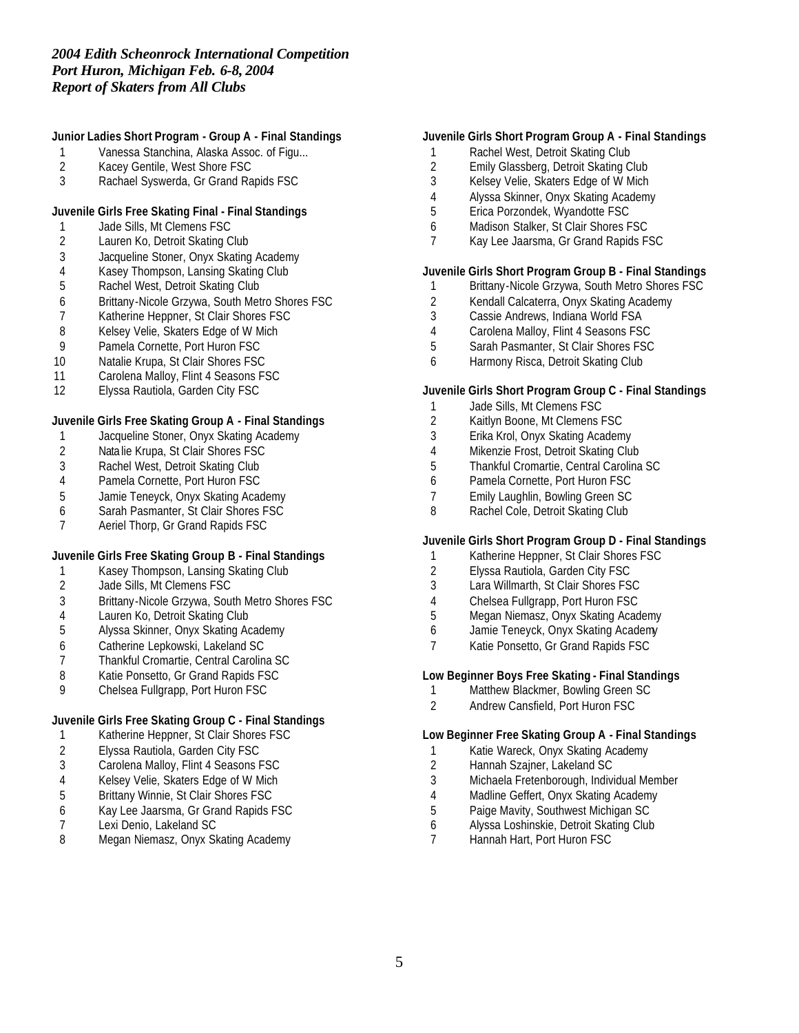# **Junior Ladies Short Program - Group A - Final Standings**

- 1 Vanessa Stanchina, Alaska Assoc. of Figu...<br>2 Kacey Gentile, West Shore FSC
- 2 Kacey Gentile, West Shore FSC<br>3 Rachael Syswerda. Gr Grand Ra
- Rachael Syswerda, Gr Grand Rapids FSC

# **Juvenile Girls Free Skating Final - Final Standings**

- 1 Jade Sills, Mt Clemens FSC<br>2 Lauren Ko, Detroit Skating C
- Lauren Ko, Detroit Skating Club
- Jacqueline Stoner, Onyx Skating Academy
- Kasey Thompson, Lansing Skating Club
- Rachel West, Detroit Skating Club
- Brittany-Nicole Grzywa, South Metro Shores FSC
- 7 Katherine Heppner, St Clair Shores FSC<br>8 Kelsey Velie, Skaters Edge of W Mich
- Kelsey Velie, Skaters Edge of W Mich
- Pamela Cornette, Port Huron FSC
- Natalie Krupa, St Clair Shores FSC
- 11 Carolena Malloy, Flint 4 Seasons FSC
- Elyssa Rautiola, Garden City FSC

## **Juvenile Girls Free Skating Group A - Final Standings**

- Jacqueline Stoner, Onyx Skating Academy
- 2 Nata lie Krupa, St Clair Shores FSC<br>3 Rachel West, Detroit Skating Club
- 3 Rachel West, Detroit Skating Club<br>4 Pamela Cornette, Port Huron FSC
- Pamela Cornette, Port Huron FSC
- Jamie Teneyck, Onyx Skating Academy
- Sarah Pasmanter, St Clair Shores FSC
- Aeriel Thorp, Gr Grand Rapids FSC

## **Juvenile Girls Free Skating Group B - Final Standings**

- 1 Kasey Thompson, Lansing Skating Club<br>2 Jade Sills, Mt Clemens FSC
- Jade Sills, Mt Clemens FSC
- Brittany-Nicole Grzywa, South Metro Shores FSC
- Lauren Ko, Detroit Skating Club
- Alyssa Skinner, Onyx Skating Academy
- Catherine Lepkowski, Lakeland SC
- Thankful Cromartie, Central Carolina SC
- 8 Katie Ponsetto, Gr Grand Rapids FSC
- Chelsea Fullgrapp, Port Huron FSC

## **Juvenile Girls Free Skating Group C - Final Standings**

- Katherine Heppner, St Clair Shores FSC
- Elyssa Rautiola, Garden City FSC
- Carolena Malloy, Flint 4 Seasons FSC
- Kelsey Velie, Skaters Edge of W Mich
- Brittany Winnie, St Clair Shores FSC
- Kay Lee Jaarsma, Gr Grand Rapids FSC
- 7 Lexi Denio, Lakeland SC<br>8 Megan Niemasz, Onvx Sk
- Megan Niemasz, Onyx Skating Academy

## **Juvenile Girls Short Program Group A - Final Standings**

- Rachel West, Detroit Skating Club
- 2 Emily Glassberg, Detroit Skating Club<br>3 Kelsev Velie, Skaters Edge of W Mich
- Kelsey Velie, Skaters Edge of W Mich
- Alyssa Skinner, Onyx Skating Academy
- Erica Porzondek, Wyandotte FSC
- Madison Stalker, St Clair Shores FSC
- Kay Lee Jaarsma, Gr Grand Rapids FSC

## **Juvenile Girls Short Program Group B - Final Standings**

- Brittany-Nicole Grzywa, South Metro Shores FSC
- 2 Kendall Calcaterra, Onyx Skating Academy<br>3 Cassie Andrews, Indiana World FSA
- Cassie Andrews, Indiana World FSA
- Carolena Malloy, Flint 4 Seasons FSC
- Sarah Pasmanter, St Clair Shores FSC
- Harmony Risca, Detroit Skating Club

#### **Juvenile Girls Short Program Group C - Final Standings**

- 1 Jade Sills, Mt Clemens FSC
- Kaitlyn Boone, Mt Clemens FSC
- Erika Krol, Onyx Skating Academy
- Mikenzie Frost, Detroit Skating Club
- Thankful Cromartie, Central Carolina SC
- Pamela Cornette, Port Huron FSC
- Emily Laughlin, Bowling Green SC
- 8 Rachel Cole, Detroit Skating Club

#### **Juvenile Girls Short Program Group D - Final Standings**

- Katherine Heppner, St Clair Shores FSC
- Elyssa Rautiola, Garden City FSC
- Lara Willmarth, St Clair Shores FSC
- Chelsea Fullgrapp, Port Huron FSC
- Megan Niemasz, Onyx Skating Academy
- Jamie Teneyck, Onyx Skating Academy
- Katie Ponsetto, Gr Grand Rapids FSC

#### **Low Beginner Boys Free Skating - Final Standings**

- 1 Matthew Blackmer, Bowling Green SC
- Andrew Cansfield, Port Huron FSC

#### **Low Beginner Free Skating Group A - Final Standings**

- Katie Wareck, Onyx Skating Academy
- Hannah Szajner, Lakeland SC
- Michaela Fretenborough, Individual Member
- Madline Geffert, Onyx Skating Academy
- Paige Mavity, Southwest Michigan SC
- Alyssa Loshinskie, Detroit Skating Club
- Hannah Hart, Port Huron FSC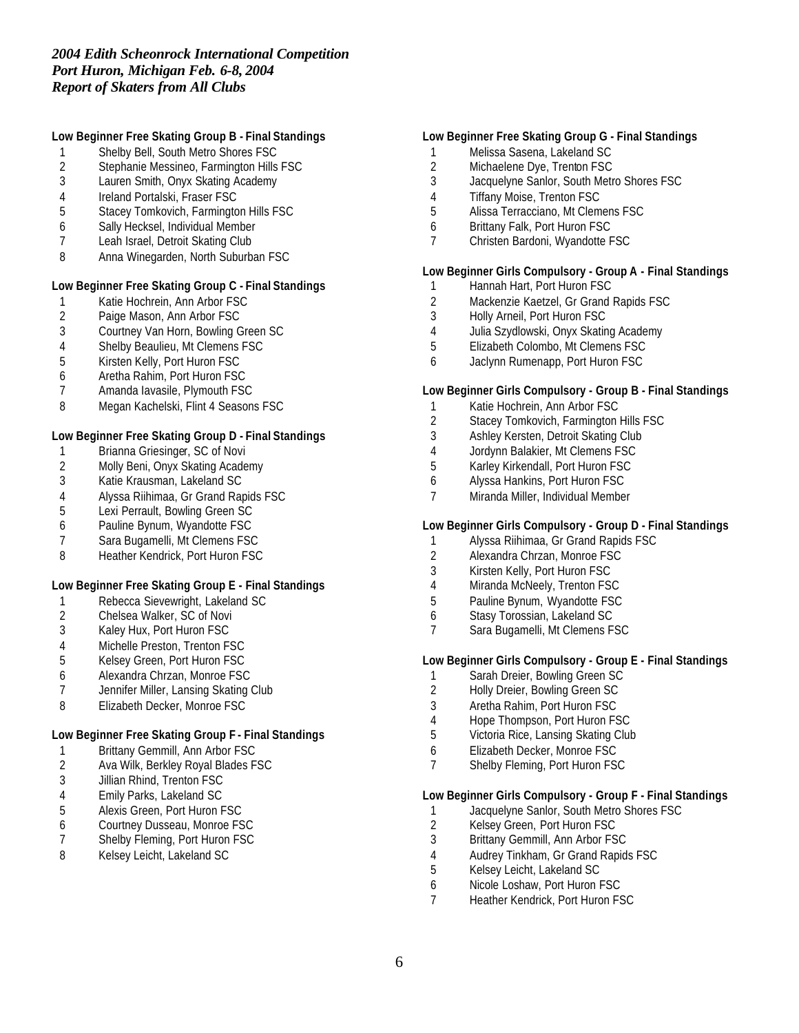## **Low Beginner Free Skating Group B - Final Standings**

- 1 Shelby Bell, South Metro Shores FSC<br>2 Stephanie Messineo, Farmington Hills
- 2 Stephanie Messineo, Farmington Hills FSC<br>3 Lauren Smith. Onvx Skating Academy
- Lauren Smith, Onyx Skating Academy
- Ireland Portalski, Fraser FSC
- Stacey Tomkovich, Farmington Hills FSC
- Sally Hecksel, Individual Member
- Leah Israel, Detroit Skating Club
- Anna Winegarden, North Suburban FSC

#### **Low Beginner Free Skating Group C - Final Standings**

- 1 Katie Hochrein, Ann Arbor FSC<br>2 Paige Mason, Ann Arbor FSC
- 2 Paige Mason, Ann Arbor FSC<br>3 Courtney Van Horn, Bowling G
- Courtney Van Horn, Bowling Green SC
- 4 Shelby Beaulieu, Mt Clemens FSC<br>5 Kirsten Kelly, Port Huron FSC
- Kirsten Kelly, Port Huron FSC
- Aretha Rahim, Port Huron FSC
- Amanda Iavasile, Plymouth FSC
- Megan Kachelski, Flint 4 Seasons FSC

## **Low Beginner Free Skating Group D - Final Standings**

- Brianna Griesinger, SC of Novi
- 2 Molly Beni, Onyx Skating Academy<br>3 Katie Krausman, Lakeland SC
- Katie Krausman, Lakeland SC
- Alyssa Riihimaa, Gr Grand Rapids FSC
- Lexi Perrault, Bowling Green SC
- Pauline Bynum, Wyandotte FSC
- Sara Bugamelli, Mt Clemens FSC
- 8 Heather Kendrick, Port Huron FSC

## **Low Beginner Free Skating Group E - Final Standings**

- 1 Rebecca Sievewright, Lakeland SC<br>2 Chelsea Walker, SC of Novi
- Chelsea Walker, SC of Novi
- Kaley Hux, Port Huron FSC
- 
- 4 Michelle Preston, Trenton FSC<br>5 Kelsey Green, Port Huron FSC Kelsey Green, Port Huron FSC
- Alexandra Chrzan, Monroe FSC
- Jennifer Miller, Lansing Skating Club
- Elizabeth Decker, Monroe FSC

## **Low Beginner Free Skating Group F - Final Standings**

- Brittany Gemmill, Ann Arbor FSC
- Ava Wilk, Berkley Royal Blades FSC
- Jillian Rhind, Trenton FSC
- 4 Emily Parks, Lakeland SC<br>5 Alexis Green, Port Huron F
- 5 Alexis Green, Port Huron FSC<br>6 Courtney Dusseau, Monroe FS
- Courtney Dusseau, Monroe FSC
- Shelby Fleming, Port Huron FSC
- Kelsey Leicht, Lakeland SC

# **Low Beginner Free Skating Group G - Final Standings**

- Melissa Sasena, Lakeland SC
- 2 Michaelene Dye, Trenton FSC<br>3 Jacquelyne Sanlor, South Metr
- Jacquelyne Sanlor, South Metro Shores FSC
- Tiffany Moise, Trenton FSC
- Alissa Terracciano, Mt Clemens FSC
- Brittany Falk, Port Huron FSC
- Christen Bardoni, Wyandotte FSC

## **Low Beginner Girls Compulsory - Group A - Final Standings**

- 1 Hannah Hart, Port Huron FSC
- 2 Mackenzie Kaetzel, Gr Grand Rapids FSC<br>3 Holly Arneil, Port Huron FSC
- Holly Arneil, Port Huron FSC
- Julia Szydlowski, Onyx Skating Academy
- Elizabeth Colombo, Mt Clemens FSC
- Jaclynn Rumenapp, Port Huron FSC

#### **Low Beginner Girls Compulsory - Group B - Final Standings**

- 1 Katie Hochrein, Ann Arbor FSC
- Stacey Tomkovich, Farmington Hills FSC
- Ashley Kersten, Detroit Skating Club
- Jordynn Balakier, Mt Clemens FSC
- Karley Kirkendall, Port Huron FSC
- Alyssa Hankins, Port Huron FSC
- Miranda Miller, Individual Member

## **Low Beginner Girls Compulsory - Group D - Final Standings**

- Alyssa Riihimaa, Gr Grand Rapids FSC
- Alexandra Chrzan, Monroe FSC
- Kirsten Kelly, Port Huron FSC
- Miranda McNeely, Trenton FSC
- Pauline Bynum, Wyandotte FSC
- Stasy Torossian, Lakeland SC
- Sara Bugamelli, Mt Clemens FSC

#### **Low Beginner Girls Compulsory - Group E - Final Standings**

- 1 Sarah Dreier, Bowling Green SC
- Holly Dreier, Bowling Green SC
- Aretha Rahim, Port Huron FSC
- Hope Thompson, Port Huron FSC
- Victoria Rice, Lansing Skating Club
- Elizabeth Decker, Monroe FSC
- Shelby Fleming, Port Huron FSC

#### **Low Beginner Girls Compulsory - Group F - Final Standings**

- 1 Jacquelyne Sanlor, South Metro Shores FSC<br>2 Kelsey Green, Port Huron FSC
- 2 Kelsey Green, Port Huron FSC<br>3 Brittany Gemmill, Ann Arbor FS
- Brittany Gemmill, Ann Arbor FSC
- 4 Audrey Tinkham, Gr Grand Rapids FSC<br>5 Kelsev Leicht, Lakeland SC
- Kelsey Leicht, Lakeland SC
- Nicole Loshaw, Port Huron FSC
- Heather Kendrick, Port Huron FSC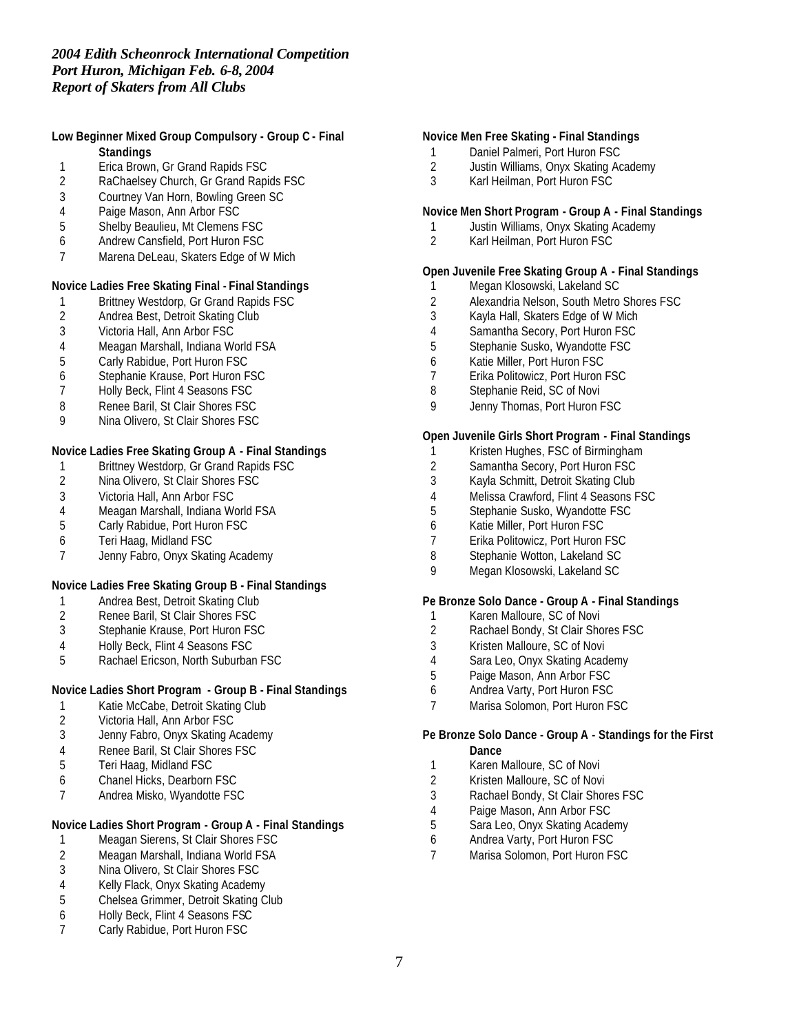## **Low Beginner Mixed Group Compulsory - Group C - Final Standings**

- 1 Erica Brown, Gr Grand Rapids FSC<br>2 RaChaelsey Church, Gr Grand Rapi
- 2 RaChaelsey Church, Gr Grand Rapids FSC
- 3 Courtney Van Horn, Bowling Green SC
- 
- 4 Paige Mason, Ann Arbor FSC<br>5 Shelby Beaulieu, Mt Clemens 5 Shelby Beaulieu, Mt Clemens FSC
- 6 Andrew Cansfield, Port Huron FSC
- 7 Marena DeLeau, Skaters Edge of W Mich

#### **Novice Ladies Free Skating Final - Final Standings**

- 1 Brittney Westdorp, Gr Grand Rapids FSC<br>2 Andrea Best, Detroit Skating Club
- 2 Andrea Best, Detroit Skating Club<br>3 Victoria Hall. Ann Arbor FSC
- Victoria Hall, Ann Arbor FSC
- 4 Meagan Marshall, Indiana World FSA<br>5 Carly Rabidue, Port Huron FSC
- 5 Carly Rabidue, Port Huron FSC
- 6 Stephanie Krause, Port Huron FSC
- 7 Holly Beck, Flint 4 Seasons FSC
- 8 Renee Baril, St Clair Shores FSC
- 9 Nina Olivero, St Clair Shores FSC

## **Novice Ladies Free Skating Group A - Final Standings**

- 1 Brittney Westdorp, Gr Grand Rapids FSC<br>2 Nina Olivero, St Clair Shores FSC
- Nina Olivero, St Clair Shores FSC
- 3 Victoria Hall, Ann Arbor FSC
- 4 Meagan Marshall, Indiana World FSA<br>5 Carly Rabidue. Port Huron FSC
- 5 Carly Rabidue, Port Huron FSC
- 6 Teri Haag, Midland FSC
- 7 Jenny Fabro, Onyx Skating Academy

## **Novice Ladies Free Skating Group B - Final Standings**

- 1 Andrea Best, Detroit Skating Club<br>2 Renee Baril, St Clair Shores FSC
- 2 Renee Baril, St Clair Shores FSC
- 3 Stephanie Krause, Port Huron FSC
- 4 Holly Beck, Flint 4 Seasons FSC
- 5 Rachael Ericson, North Suburban FSC

#### **Novice Ladies Short Program - Group B - Final Standings**

- 1 Katie McCabe, Detroit Skating Club
- 2 Victoria Hall, Ann Arbor FSC<br>3 Jenny Fabro, Onyx Skating A
- Jenny Fabro, Onyx Skating Academy
- 4 Renee Baril, St Clair Shores FSC
- 5 Teri Haag, Midland FSC
- 6 Chanel Hicks, Dearborn FSC
- 7 Andrea Misko, Wyandotte FSC

# **Novice Ladies Short Program - Group A - Final Standings**

- 1 Meagan Sierens, St Clair Shores FSC
- 2 Meagan Marshall, Indiana World FSA<br>3 Nina Olivero, St Clair Shores FSC
- 3 Nina Olivero, St Clair Shores FSC<br>4 Kelly Flack. Onvx Skating Academy
- 4 Kelly Flack, Onyx Skating Academy
- 5 Chelsea Grimmer, Detroit Skating Club
- 6 Holly Beck, Flint 4 Seasons FSC
- 7 Carly Rabidue, Port Huron FSC

# **Novice Men Free Skating - Final Standings**

- 1 Daniel Palmeri, Port Huron FSC
- 2 Justin Williams, Onyx Skating Academy
- Karl Heilman, Port Huron FSC

#### **Novice Men Short Program - Group A - Final Standings**

- 1 Justin Williams, Onyx Skating Academy<br>2 Karl Heilman, Port Huron FSC
- 2 Karl Heilman, Port Huron FSC

## **Open Juvenile Free Skating Group A - Final Standings**

- 1 Megan Klosowski, Lakeland SC
- 2 Alexandria Nelson, South Metro Shores FSC<br>3 Kayla Hall, Skaters Edge of W Mich
- Kayla Hall, Skaters Edge of W Mich
- 4 Samantha Secory, Port Huron FSC
- 5 Stephanie Susko, Wyandotte FSC
- 6 Katie Miller, Port Huron FSC
- 7 Erika Politowicz, Port Huron FSC
- 8 Stephanie Reid, SC of Novi
- 9 Jenny Thomas, Port Huron FSC

## **Open Juvenile Girls Short Program - Final Standings**

- 1 Kristen Hughes, FSC of Birmingham
- 2 Samantha Secory, Port Huron FSC<br>3 Kayla Schmitt, Detroit Skating Club
- Kayla Schmitt, Detroit Skating Club
- 4 Melissa Crawford, Flint 4 Seasons FSC
- 5 Stephanie Susko, Wyandotte FSC
- 6 Katie Miller, Port Huron FSC
- 7 Erika Politowicz, Port Huron FSC
- 8 Stephanie Wotton, Lakeland SC
- 9 Megan Klosowski, Lakeland SC

#### **Pe Bronze Solo Dance - Group A - Final Standings**

- 1 Karen Malloure, SC of Novi
- 2 Rachael Bondy, St Clair Shores FSC
- 3 Kristen Malloure, SC of Novi
- 4 Sara Leo, Onyx Skating Academy
- 5 Paige Mason, Ann Arbor FSC
- 6 Andrea Varty, Port Huron FSC
- 7 Marisa Solomon, Port Huron FSC

#### **Pe Bronze Solo Dance - Group A - Standings for the First Dance**

- 1 Karen Malloure, SC of Novi
- 2 Kristen Malloure, SC of Novi
- 3 Rachael Bondy, St Clair Shores FSC
- 
- 4 Paige Mason, Ann Arbor FSC<br>5 Sara Leo, Onyx Skating Acade 5 Sara Leo, Onyx Skating Academy
- 6 Andrea Varty, Port Huron FSC
- 7 Marisa Solomon, Port Huron FSC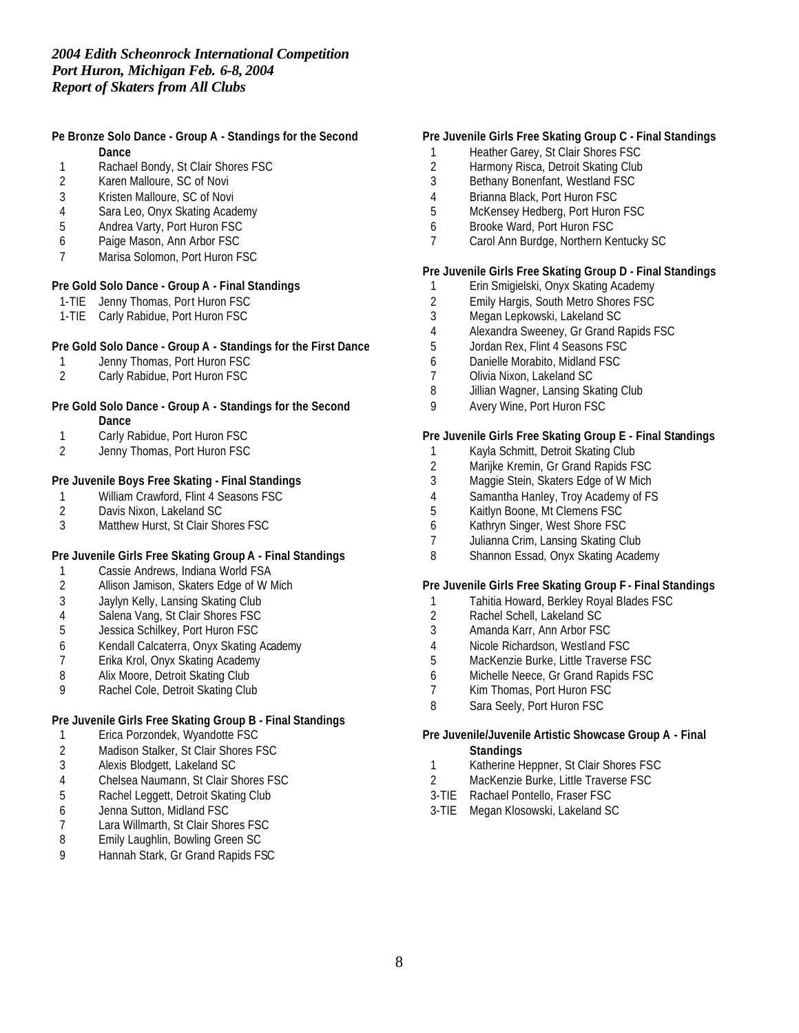#### **Pe Bronze Solo Dance - Group A - Standings for the Second Dance**

- 1 Rachael Bondy, St Clair Shores FSC<br>2 Karen Malloure. SC of Novi
- Karen Malloure, SC of Novi
- 3 Kristen Malloure, SC of Novi
- 4 Sara Leo, Onyx Skating Academy
- 5 Andrea Varty, Port Huron FSC
- 6 Paige Mason, Ann Arbor FSC
- 7 Marisa Solomon, Port Huron FSC

#### **Pre Gold Solo Dance - Group A - Final Standings**

- 1-TIE Jenny Thomas, Port Huron FSC
- 1-TIE Carly Rabidue, Port Huron FSC

#### **Pre Gold Solo Dance - Group A - Standings for the First Dance**

- 1 Jenny Thomas, Port Huron FSC
- 2 Carly Rabidue, Port Huron FSC

#### **Pre Gold Solo Dance - Group A - Standings for the Second Dance**

- 1 Carly Rabidue, Port Huron FSC
- 2 Jenny Thomas, Port Huron FSC

## **Pre Juvenile Boys Free Skating - Final Standings**

- 1 William Crawford, Flint 4 Seasons FSC<br>2 Davis Nixon, Lakeland SC
- 2 Davis Nixon, Lakeland SC<br>3 Matthew Hurst, St Clair Sh
- Matthew Hurst, St Clair Shores FSC

## **Pre Juvenile Girls Free Skating Group A - Final Standings**

- 1 Cassie Andrews, Indiana World FSA<br>2 Allison Jamison, Skaters Edge of W M
- Allison Jamison, Skaters Edge of W Mich
- 3 Jaylyn Kelly, Lansing Skating Club
- 4 Salena Vang, St Clair Shores FSC
- 5 Jessica Schilkey, Port Huron FSC
- 6 Kendall Calcaterra, Onyx Skating Academy
- 7 Erika Krol, Onyx Skating Academy
- 8 Alix Moore, Detroit Skating Club
- 9 Rachel Cole, Detroit Skating Club

## **Pre Juvenile Girls Free Skating Group B - Final Standings**

- 1 Erica Porzondek, Wyandotte FSC
- 2 Madison Stalker, St Clair Shores FSC
- 3 Alexis Blodgett, Lakeland SC
- 4 Chelsea Naumann, St Clair Shores FSC
- 5 Rachel Leggett, Detroit Skating Club
- 6 Jenna Sutton, Midland FSC
- 7 Lara Willmarth, St Clair Shores FSC<br>8 Emily Laughlin, Bowling Green SC
- Emily Laughlin, Bowling Green SC
- 9 Hannah Stark, Gr Grand Rapids FSC

## **Pre Juvenile Girls Free Skating Group C - Final Standings**

- 1 Heather Garey, St Clair Shores FSC
- 2 Harmony Risca, Detroit Skating Club<br>3 Bethany Bonenfant. Westland FSC
- Bethany Bonenfant, Westland FSC
- 4 Brianna Black, Port Huron FSC
- 5 McKensey Hedberg, Port Huron FSC
- 6 Brooke Ward, Port Huron FSC
- 7 Carol Ann Burdge, Northern Kentucky SC

## **Pre Juvenile Girls Free Skating Group D - Final Standings**

- 1 Erin Smigielski, Onyx Skating Academy
- 2 Emily Hargis, South Metro Shores FSC<br>3 Megan Lepkowski, Lakeland SC
- Megan Lepkowski, Lakeland SC
- 4 Alexandra Sweeney, Gr Grand Rapids FSC
- 5 Jordan Rex, Flint 4 Seasons FSC
- 6 Danielle Morabito, Midland FSC
- 7 Olivia Nixon, Lakeland SC
- 8 Jillian Wagner, Lansing Skating Club
- 9 Avery Wine, Port Huron FSC

#### **Pre Juvenile Girls Free Skating Group E - Final Standings**

- 1 Kayla Schmitt, Detroit Skating Club
- 2 Marijke Kremin, Gr Grand Rapids FSC<br>3 Maggie Stein, Skaters Edge of W Mich
- Maggie Stein, Skaters Edge of W Mich
- 4 Samantha Hanley, Troy Academy of FS
- 5 Kaitlyn Boone, Mt Clemens FSC
- 6 Kathryn Singer, West Shore FSC
- 7 Julianna Crim, Lansing Skating Club
- 8 Shannon Essad, Onyx Skating Academy

#### **Pre Juvenile Girls Free Skating Group F - Final Standings**

- 1 Tahitia Howard, Berkley Royal Blades FSC
- 2 Rachel Schell, Lakeland SC
- 3 Amanda Karr, Ann Arbor FSC
- 4 Nicole Richardson, Westland FSC
- 5 MacKenzie Burke, Little Traverse FSC
- 6 Michelle Neece, Gr Grand Rapids FSC
- 7 Kim Thomas, Port Huron FSC
- 8 Sara Seely, Port Huron FSC

#### **Pre Juvenile/Juvenile Artistic Showcase Group A - Final Standings**

- 1 Katherine Heppner, St Clair Shores FSC
- 2 MacKenzie Burke, Little Traverse FSC
- 3-TIE Rachael Pontello, Fraser FSC
- 3-TIE Megan Klosowski, Lakeland SC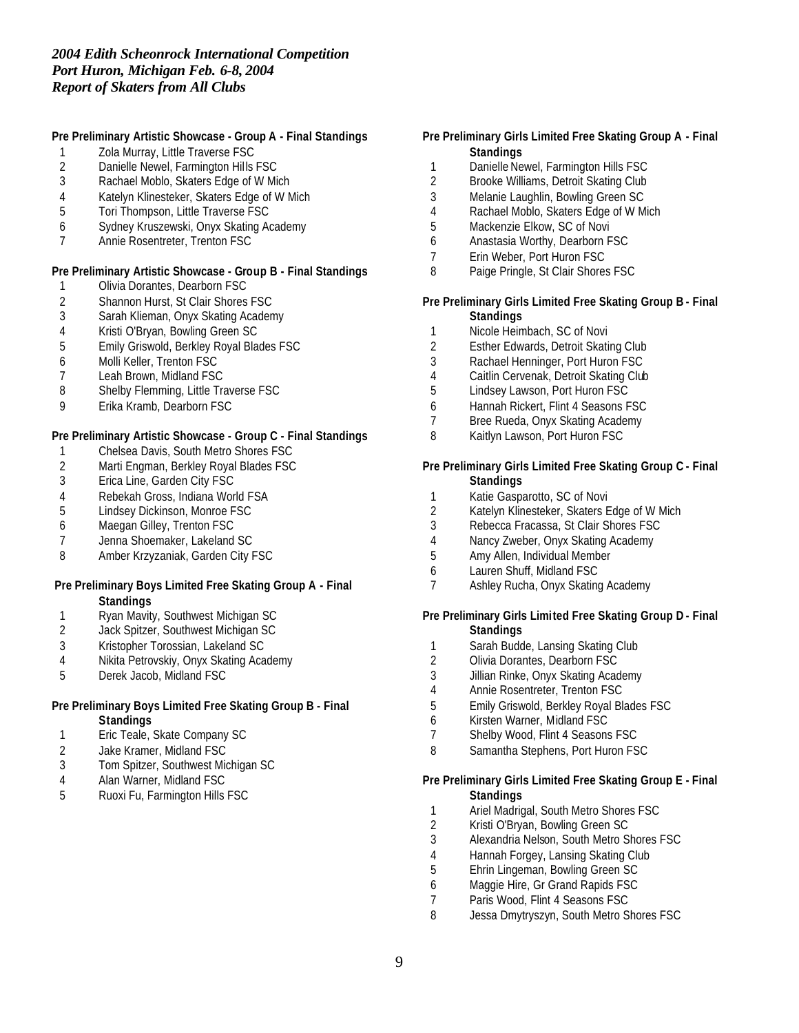## **Pre Preliminary Artistic Showcase - Group A - Final Standings**

- Zola Murray, Little Traverse FSC
- 2 Danielle Newel, Farmington Hills FSC<br>3 Rachael Moblo, Skaters Edge of W Mir
- Rachael Moblo, Skaters Edge of W Mich
- Katelyn Klinesteker, Skaters Edge of W Mich
- Tori Thompson, Little Traverse FSC
- Sydney Kruszewski, Onyx Skating Academy
- Annie Rosentreter, Trenton FSC

#### **Pre Preliminary Artistic Showcase - Group B - Final Standings**

- Olivia Dorantes, Dearborn FSC
- 2 Shannon Hurst, St Clair Shores FSC<br>3 Sarah Klieman, Onyx Skating Acaden
- Sarah Klieman, Onyx Skating Academy
- Kristi O'Bryan, Bowling Green SC
- Emily Griswold, Berkley Royal Blades FSC
- Molli Keller, Trenton FSC
- Leah Brown, Midland FSC
- 8 Shelby Flemming, Little Traverse FSC
- Erika Kramb, Dearborn FSC

#### **Pre Preliminary Artistic Showcase - Group C - Final Standings**

- Chelsea Davis, South Metro Shores FSC
- 2 Marti Engman, Berkley Royal Blades FSC<br>3 Erica Line, Garden City FSC
- Erica Line, Garden City FSC
- Rebekah Gross, Indiana World FSA
- Lindsey Dickinson, Monroe FSC
- Maegan Gilley, Trenton FSC
- Jenna Shoemaker, Lakeland SC
- Amber Krzyzaniak, Garden City FSC

## **Pre Preliminary Boys Limited Free Skating Group A - Final Standings**

- 1 Ryan Mavity, Southwest Michigan SC
- Jack Spitzer, Southwest Michigan SC
- Kristopher Torossian, Lakeland SC
- Nikita Petrovskiy, Onyx Skating Academy
- Derek Jacob, Midland FSC

## **Pre Preliminary Boys Limited Free Skating Group B - Final Standings**

- Eric Teale, Skate Company SC
- Jake Kramer, Midland FSC
- Tom Spitzer, Southwest Michigan SC
- Alan Warner, Midland FSC
- Ruoxi Fu, Farmington Hills FSC

## **Pre Preliminary Girls Limited Free Skating Group A - Final Standings**

- 1 Danielle Newel, Farmington Hills FSC<br>2 Brooke Williams, Detroit Skating Club
- Brooke Williams, Detroit Skating Club
- Melanie Laughlin, Bowling Green SC
- Rachael Moblo, Skaters Edge of W Mich
- Mackenzie Elkow, SC of Novi
- Anastasia Worthy, Dearborn FSC
- Erin Weber, Port Huron FSC
- 8 Paige Pringle, St Clair Shores FSC

#### **Pre Preliminary Girls Limited Free Skating Group B - Final Standings**

- Nicole Heimbach, SC of Novi
- Esther Edwards, Detroit Skating Club
- Rachael Henninger, Port Huron FSC
- Caitlin Cervenak, Detroit Skating Club
- Lindsey Lawson, Port Huron FSC
- Hannah Rickert, Flint 4 Seasons FSC
- Bree Rueda, Onyx Skating Academy
- Kaitlyn Lawson, Port Huron FSC

#### **Pre Preliminary Girls Limited Free Skating Group C - Final Standings**

- Katie Gasparotto, SC of Novi
- Katelyn Klinesteker, Skaters Edge of W Mich
- Rebecca Fracassa, St Clair Shores FSC
- Nancy Zweber, Onyx Skating Academy
- Amy Allen, Individual Member
- Lauren Shuff, Midland FSC
- Ashley Rucha, Onyx Skating Academy

#### **Pre Preliminary Girls Limited Free Skating Group D - Final Standings**

- 1 Sarah Budde, Lansing Skating Club
- Olivia Dorantes, Dearborn FSC
- Jillian Rinke, Onyx Skating Academy
- Annie Rosentreter, Trenton FSC
- Emily Griswold, Berkley Royal Blades FSC
- Kirsten Warner, Midland FSC
- Shelby Wood, Flint 4 Seasons FSC
- Samantha Stephens, Port Huron FSC

## **Pre Preliminary Girls Limited Free Skating Group E - Final Standings**

- 1 Ariel Madrigal, South Metro Shores FSC<br>2 Kristi O'Brvan. Bowling Green SC
- 2 Kristi O'Bryan, Bowling Green SC<br>3 Alexandria Nelson, South Metro S
- Alexandria Nelson, South Metro Shores FSC
- 4 Hannah Forgey, Lansing Skating Club<br>5 Ehrin Lingeman, Bowling Green SC
- Ehrin Lingeman, Bowling Green SC
- Maggie Hire, Gr Grand Rapids FSC
- 7 Paris Wood, Flint 4 Seasons FSC
- Jessa Dmytryszyn, South Metro Shores FSC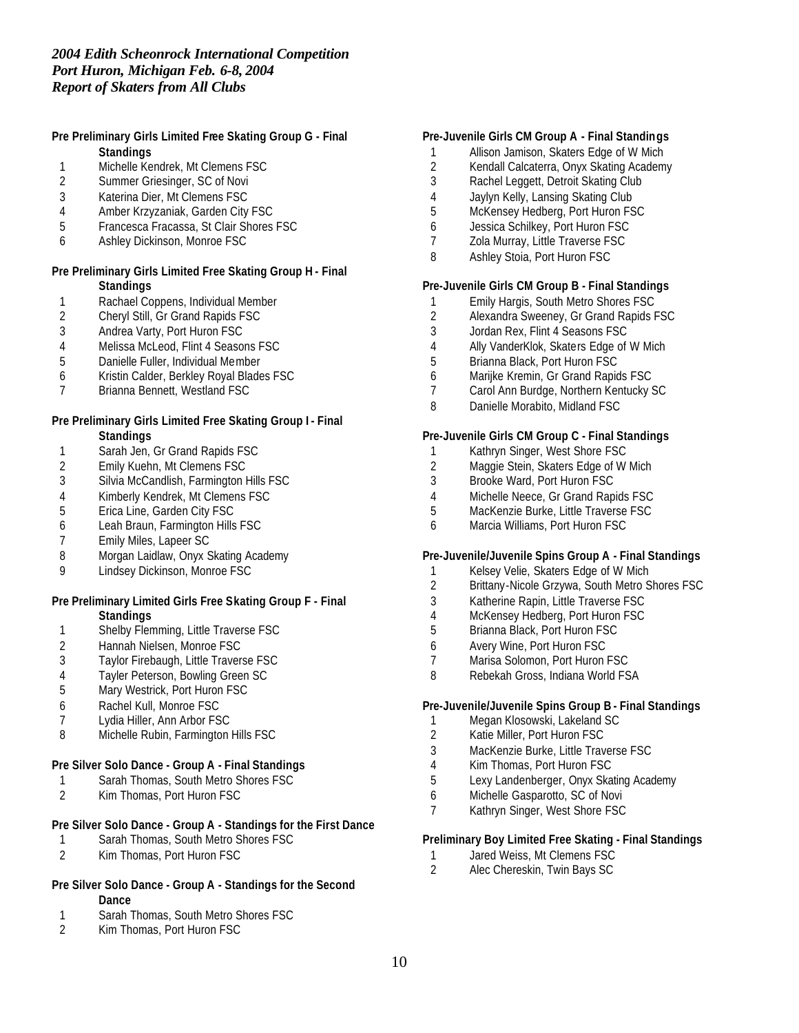## **Pre Preliminary Girls Limited Free Skating Group G - Final Standings**

- 1 Michelle Kendrek, Mt Clemens FSC<br>2 Summer Griesinger, SC of Novi
- Summer Griesinger, SC of Novi
- 3 Katerina Dier, Mt Clemens FSC
- 4 Amber Krzyzaniak, Garden City FSC
- 5 Francesca Fracassa, St Clair Shores FSC
- 6 Ashley Dickinson, Monroe FSC

#### **Pre Preliminary Girls Limited Free Skating Group H - Final Standings**

- 1 Rachael Coppens, Individual Member<br>2 Cheryl Still, Gr Grand Rapids FSC
- 2 Cheryl Still, Gr Grand Rapids FSC<br>3 Andrea Varty, Port Huron FSC
- 3 Andrea Varty, Port Huron FSC
- 4 Melissa McLeod, Flint 4 Seasons FSC<br>5 Danielle Fuller, Individual Member
- 5 Danielle Fuller, Individual Member
- 6 Kristin Calder, Berkley Royal Blades FSC
- 7 Brianna Bennett, Westland FSC

#### **Pre Preliminary Girls Limited Free Skating Group I - Final Standings**

- 1 Sarah Jen, Gr Grand Rapids FSC<br>2 Emily Kuehn, Mt Clemens FSC
- 2 Emily Kuehn, Mt Clemens FSC<br>3 Silvia McCandlish, Farmington H
- 3 Silvia McCandlish, Farmington Hills FSC
- 4 Kimberly Kendrek, Mt Clemens FSC
- 5 Erica Line, Garden City FSC
- 6 Leah Braun, Farmington Hills FSC
- 7 Emily Miles, Lapeer SC
- 8 Morgan Laidlaw, Onyx Skating Academy
- 9 Lindsey Dickinson, Monroe FSC

#### **Pre Preliminary Limited Girls Free Skating Group F - Final Standings**

- 1 Shelby Flemming, Little Traverse FSC
- 
- 2 Hannah Nielsen, Monroe FSC<br>3 Taylor Firebaugh, Little Traver Taylor Firebaugh, Little Traverse FSC
- 4 Tayler Peterson, Bowling Green SC<br>5 Mary Westrick, Port Huron FSC
- Mary Westrick, Port Huron FSC
- 6 Rachel Kull, Monroe FSC
- 7 Lydia Hiller, Ann Arbor FSC
- 8 Michelle Rubin, Farmington Hills FSC

## **Pre Silver Solo Dance - Group A - Final Standings**

- 1 Sarah Thomas, South Metro Shores FSC
- 2 Kim Thomas, Port Huron FSC

## **Pre Silver Solo Dance - Group A - Standings for the First Dance**

- 1 Sarah Thomas, South Metro Shores FSC
- 2 Kim Thomas, Port Huron FSC

## **Pre Silver Solo Dance - Group A - Standings for the Second Dance**

- 1 Sarah Thomas, South Metro Shores FSC<br>2 Kim Thomas, Port Huron FSC
- Kim Thomas, Port Huron FSC

## **Pre-Juvenile Girls CM Group A - Final Standings**

- 1 Allison Jamison, Skaters Edge of W Mich
- 2 Kendall Calcaterra, Onyx Skating Academy<br>3 Rachel Leggett, Detroit Skating Club
- Rachel Leggett, Detroit Skating Club
- 4 Jaylyn Kelly, Lansing Skating Club
- 5 McKensey Hedberg, Port Huron FSC
- 6 Jessica Schilkey, Port Huron FSC
- 7 Zola Murray, Little Traverse FSC
- 8 Ashley Stoia, Port Huron FSC

## **Pre-Juvenile Girls CM Group B - Final Standings**

- 1 Emily Hargis, South Metro Shores FSC<br>2 Alexandra Sweeney, Gr Grand Rapids F
- 2 Alexandra Sweeney, Gr Grand Rapids FSC<br>3 Jordan Rex. Flint 4 Seasons FSC
- Jordan Rex, Flint 4 Seasons FSC
- 4 Ally VanderKlok, Skaters Edge of W Mich
- 5 Brianna Black, Port Huron FSC
- 6 Marijke Kremin, Gr Grand Rapids FSC
- 7 Carol Ann Burdge, Northern Kentucky SC
- 8 Danielle Morabito, Midland FSC

#### **Pre-Juvenile Girls CM Group C - Final Standings**

- 1 Kathryn Singer, West Shore FSC
- 2 Maggie Stein, Skaters Edge of W Mich<br>3 Brooke Ward, Port Huron FSC
- Brooke Ward, Port Huron FSC
- 4 Michelle Neece, Gr Grand Rapids FSC
- 5 MacKenzie Burke, Little Traverse FSC
- 6 Marcia Williams, Port Huron FSC

## **Pre-Juvenile/Juvenile Spins Group A - Final Standings**

- 1 Kelsey Velie, Skaters Edge of W Mich<br>2 Brittany-Nicole Grzywa, South Metro S
- 2 Brittany-Nicole Grzywa, South Metro Shores FSC
- 3 Katherine Rapin, Little Traverse FSC
- 4 McKensey Hedberg, Port Huron FSC
- 5 Brianna Black, Port Huron FSC
- 6 Avery Wine, Port Huron FSC
- 7 Marisa Solomon, Port Huron FSC
- 8 Rebekah Gross, Indiana World FSA

## **Pre-Juvenile/Juvenile Spins Group B - Final Standings**

- 1 Megan Klosowski, Lakeland SC
- 2 Katie Miller, Port Huron FSC
- 3 MacKenzie Burke, Little Traverse FSC
- 4 Kim Thomas, Port Huron FSC
- 5 Lexy Landenberger, Onyx Skating Academy
- 6 Michelle Gasparotto, SC of Novi
- 7 Kathryn Singer, West Shore FSC

## **Preliminary Boy Limited Free Skating - Final Standings**

- 1 Jared Weiss, Mt Clemens FSC<br>2 Alec Chereskin, Twin Bays SC
- 2 Alec Chereskin, Twin Bays SC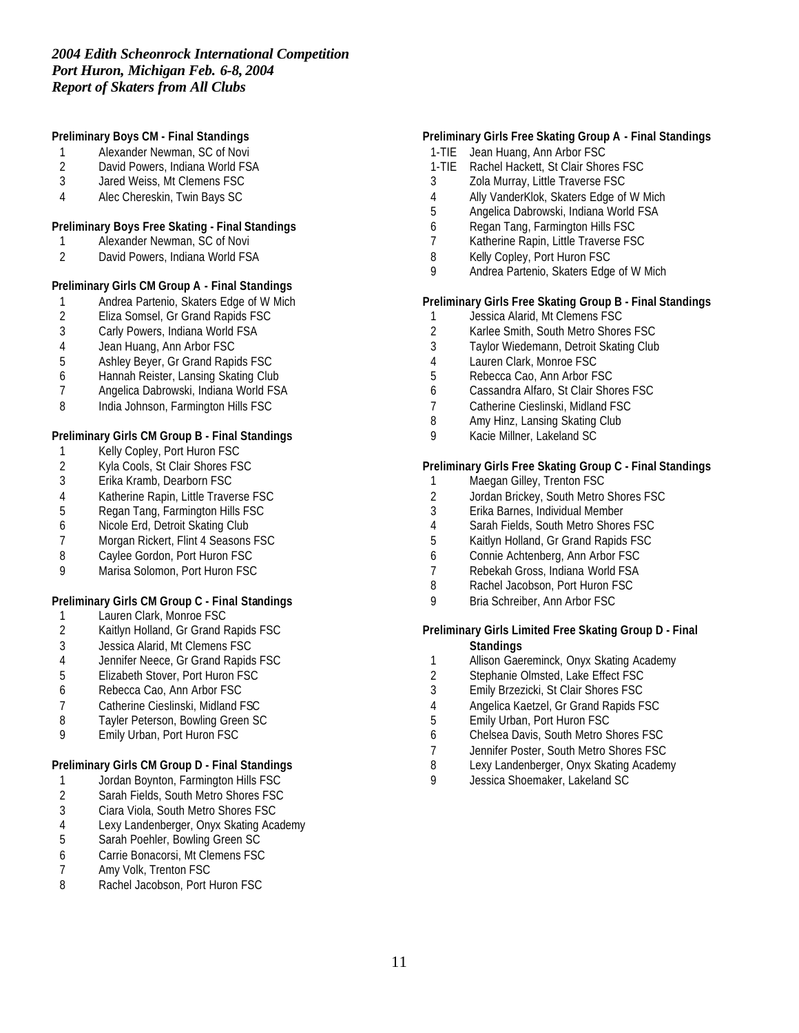## **Preliminary Boys CM - Final Standings**

- 1 Alexander Newman, SC of Novi<br>2 David Powers, Indiana World FS
- 2 David Powers, Indiana World FSA<br>3 Jared Weiss. Mt Clemens FSC
- Jared Weiss, Mt Clemens FSC
- Alec Chereskin, Twin Bays SC

## **Preliminary Boys Free Skating - Final Standings**

- Alexander Newman, SC of Novi
- David Powers, Indiana World FSA

## **Preliminary Girls CM Group A - Final Standings**

- 1 Andrea Partenio, Skaters Edge of W Mich<br>2 Eliza Somsel, Gr Grand Rapids FSC
- 2 Eliza Somsel, Gr Grand Rapids FSC<br>3 Carly Powers, Indiana World FSA
- Carly Powers, Indiana World FSA
- 4 Jean Huang, Ann Arbor FSC<br>5 Ashley Beyer, Gr Grand Rapi
- Ashley Beyer, Gr Grand Rapids FSC
- Hannah Reister, Lansing Skating Club
- Angelica Dabrowski, Indiana World FSA
- 8 India Johnson, Farmington Hills FSC

## **Preliminary Girls CM Group B - Final Standings**

- Kelly Copley, Port Huron FSC
- 2 Kyla Cools, St Clair Shores FSC<br>3 Erika Kramb, Dearborn FSC
- Erika Kramb, Dearborn FSC
- 4 Katherine Rapin, Little Traverse FSC<br>5 Regan Tang, Farmington Hills FSC
- Regan Tang, Farmington Hills FSC
- Nicole Erd, Detroit Skating Club
- Morgan Rickert, Flint 4 Seasons FSC
- 8 Caylee Gordon, Port Huron FSC<br>9 Marisa Solomon, Port Huron FSC
- Marisa Solomon, Port Huron FSC

# **Preliminary Girls CM Group C - Final Standings**

- Lauren Clark, Monroe FSC
- Kaitlyn Holland, Gr Grand Rapids FSC
- Jessica Alarid, Mt Clemens FSC
- Jennifer Neece, Gr Grand Rapids FSC
- Elizabeth Stover, Port Huron FSC
- Rebecca Cao, Ann Arbor FSC
- Catherine Cieslinski, Midland FSC
- Tayler Peterson, Bowling Green SC
- Emily Urban, Port Huron FSC

## **Preliminary Girls CM Group D - Final Standings**

- 1 Jordan Boynton, Farmington Hills FSC
- Sarah Fields, South Metro Shores FSC
- 3 Ciara Viola, South Metro Shores FSC<br>4 Lexy Landenberger, Onyx Skating Aca
- Lexy Landenberger, Onyx Skating Academy
- Sarah Poehler, Bowling Green SC
- Carrie Bonacorsi, Mt Clemens FSC
- 7 Amy Volk, Trenton FSC<br>8 Rachel Jacobson, Port H
- Rachel Jacobson, Port Huron FSC

## **Preliminary Girls Free Skating Group A - Final Standings**

- 1-TIE Jean Huang, Ann Arbor FSC
- 1-TIE Rachel Hackett, St Clair Shores FSC
- Zola Murray, Little Traverse FSC
- Ally VanderKlok, Skaters Edge of W Mich
- Angelica Dabrowski, Indiana World FSA
- Regan Tang, Farmington Hills FSC
- Katherine Rapin, Little Traverse FSC
- 8 Kelly Copley, Port Huron FSC
- Andrea Partenio, Skaters Edge of W Mich

#### **Preliminary Girls Free Skating Group B - Final Standings**

- Jessica Alarid, Mt Clemens FSC
- Karlee Smith, South Metro Shores FSC
- Taylor Wiedemann, Detroit Skating Club
- Lauren Clark, Monroe FSC
- Rebecca Cao, Ann Arbor FSC
- Cassandra Alfaro, St Clair Shores FSC
- Catherine Cieslinski, Midland FSC
- Amy Hinz, Lansing Skating Club
- Kacie Millner, Lakeland SC

## **Preliminary Girls Free Skating Group C - Final Standings**

- 1 Maegan Gilley, Trenton FSC
- 2 Jordan Brickey, South Metro Shores FSC<br>3 Erika Barnes, Individual Member
- Erika Barnes, Individual Member
- Sarah Fields, South Metro Shores FSC
- Kaitlyn Holland, Gr Grand Rapids FSC
- Connie Achtenberg, Ann Arbor FSC
- Rebekah Gross, Indiana World FSA
- 8 Rachel Jacobson, Port Huron FSC
- Bria Schreiber, Ann Arbor FSC

#### **Preliminary Girls Limited Free Skating Group D - Final Standings**

- Allison Gaereminck, Onyx Skating Academy
- Stephanie Olmsted, Lake Effect FSC
- Emily Brzezicki, St Clair Shores FSC
- Angelica Kaetzel, Gr Grand Rapids FSC
- Emily Urban, Port Huron FSC
- Chelsea Davis, South Metro Shores FSC
- Jennifer Poster, South Metro Shores FSC
- Lexy Landenberger, Onyx Skating Academy
- Jessica Shoemaker, Lakeland SC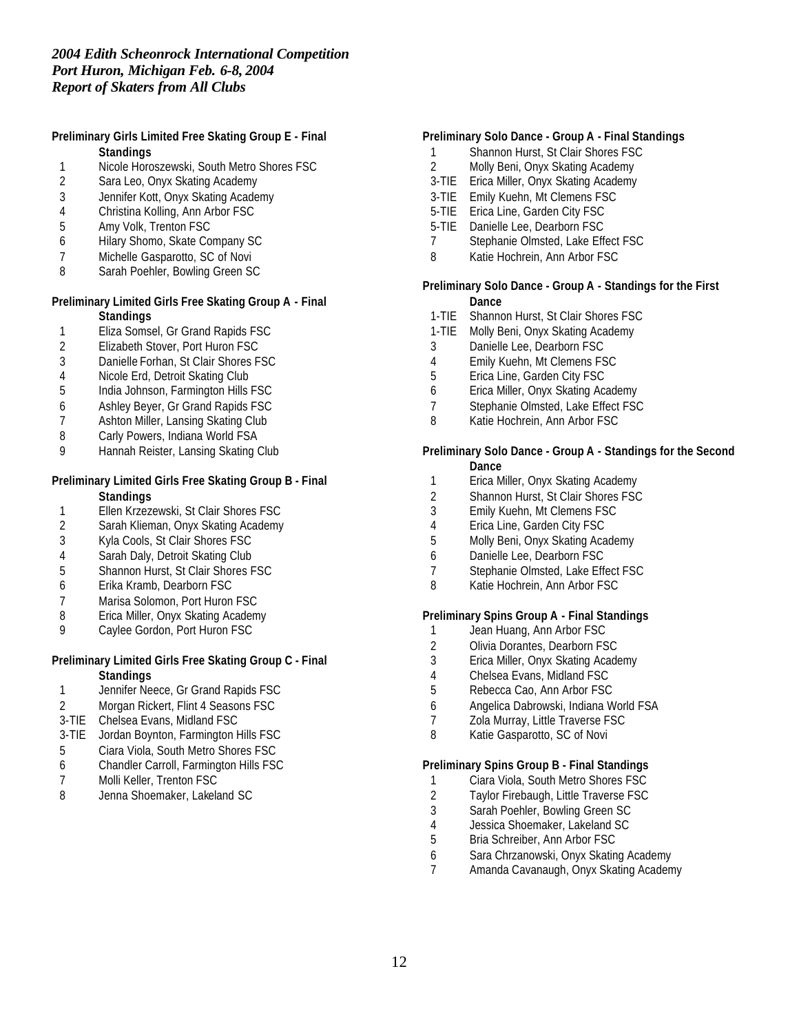# **Preliminary Girls Limited Free Skating Group E - Final Standings**

- 1 Nicole Horoszewski, South Metro Shores FSC<br>2 Sara Leo, Onyx Skating Academy
- Sara Leo, Onyx Skating Academy
- 3 Jennifer Kott, Onyx Skating Academy
- 4 Christina Kolling, Ann Arbor FSC<br>5 Amy Volk, Trenton FSC
- 5 Amy Volk, Trenton FSC
- 6 Hilary Shomo, Skate Company SC
- 7 Michelle Gasparotto, SC of Novi
- 8 Sarah Poehler, Bowling Green SC

#### **Preliminary Limited Girls Free Skating Group A - Final Standings**

- 1 Eliza Somsel, Gr Grand Rapids FSC
- 2 Elizabeth Stover, Port Huron FSC<br>3 Danielle Forhan, St Clair Shores F
- Danielle Forhan, St Clair Shores FSC
- 4 Nicole Erd, Detroit Skating Club
- 5 India Johnson, Farmington Hills FSC
- 6 Ashley Beyer, Gr Grand Rapids FSC
- 7 Ashton Miller, Lansing Skating Club
- 8 Carly Powers, Indiana World FSA
- 9 Hannah Reister, Lansing Skating Club

## **Preliminary Limited Girls Free Skating Group B - Final Standings**

- 1 Ellen Krzezewski, St Clair Shores FSC<br>2 Sarah Klieman, Onvx Skating Academy
- 2 Sarah Klieman, Onyx Skating Academy<br>3 Kyla Cools, St Clair Shores FSC
- 3 Kyla Cools, St Clair Shores FSC
- 
- 4 Sarah Daly, Detroit Skating Club<br>5 Shannon Hurst, St Clair Shores F 5 Shannon Hurst, St Clair Shores FSC
- 6 Erika Kramb, Dearborn FSC
- 7 Marisa Solomon, Port Huron FSC
- 8 Erica Miller, Onyx Skating Academy
- 9 Caylee Gordon, Port Huron FSC

## **Preliminary Limited Girls Free Skating Group C - Final Standings**

- 1 Jennifer Neece, Gr Grand Rapids FSC
- 2 Morgan Rickert, Flint 4 Seasons FSC
- 3-TIE Chelsea Evans, Midland FSC
- 3-TIE Jordan Boynton, Farmington Hills FSC
- 5 Ciara Viola, South Metro Shores FSC
- 6 Chandler Carroll, Farmington Hills FSC
- 7 Molli Keller, Trenton FSC
- 8 Jenna Shoemaker, Lakeland SC

# **Preliminary Solo Dance - Group A - Final Standings**

- 1 Shannon Hurst, St Clair Shores FSC
- 2 Molly Beni, Onyx Skating Academy
- 3-TIE Erica Miller, Onyx Skating Academy
- 3-TIE Emily Kuehn, Mt Clemens FSC
- 5-TIE Erica Line, Garden City FSC
- 5-TIE Danielle Lee, Dearborn FSC
- 7 Stephanie Olmsted, Lake Effect FSC
- 8 Katie Hochrein, Ann Arbor FSC

## **Preliminary Solo Dance - Group A - Standings for the First Dance**

- 1-TIE Shannon Hurst, St Clair Shores FSC
- 1-TIE Molly Beni, Onyx Skating Academy
- 3 Danielle Lee, Dearborn FSC
- 4 Emily Kuehn, Mt Clemens FSC
- 5 Erica Line, Garden City FSC
- 6 Erica Miller, Onyx Skating Academy
- 7 Stephanie Olmsted, Lake Effect FSC
- 8 Katie Hochrein, Ann Arbor FSC

# **Preliminary Solo Dance - Group A - Standings for the Second**

- **Dance**
- 1 Erica Miller, Onyx Skating Academy
- 2 Shannon Hurst, St Clair Shores FSC
- 3 Emily Kuehn, Mt Clemens FSC
- 4 Erica Line, Garden City FSC
- 5 Molly Beni, Onyx Skating Academy
- 6 Danielle Lee, Dearborn FSC
- 7 Stephanie Olmsted, Lake Effect FSC
- 8 Katie Hochrein, Ann Arbor FSC

#### **Preliminary Spins Group A - Final Standings**

- 1 Jean Huang, Ann Arbor FSC
- 2 Olivia Dorantes, Dearborn FSC<br>3 Erica Miller, Onyx Skating Acade
- 3 Erica Miller, Onyx Skating Academy
- 4 Chelsea Evans, Midland FSC
- 5 Rebecca Cao, Ann Arbor FSC
- 6 Angelica Dabrowski, Indiana World FSA
- 7 Zola Murray, Little Traverse FSC
- 8 Katie Gasparotto, SC of Novi

#### **Preliminary Spins Group B - Final Standings**

- 1 Ciara Viola, South Metro Shores FSC
- 2 Taylor Firebaugh, Little Traverse FSC
- 3 Sarah Poehler, Bowling Green SC<br>4 Jessica Shoemaker, Lakeland SC
- 4 Jessica Shoemaker, Lakeland SC<br>5 Bria Schreiber, Ann Arbor FSC
- 5 Bria Schreiber, Ann Arbor FSC
- 6 Sara Chrzanowski, Onyx Skating Academy
- 7 Amanda Cavanaugh, Onyx Skating Academy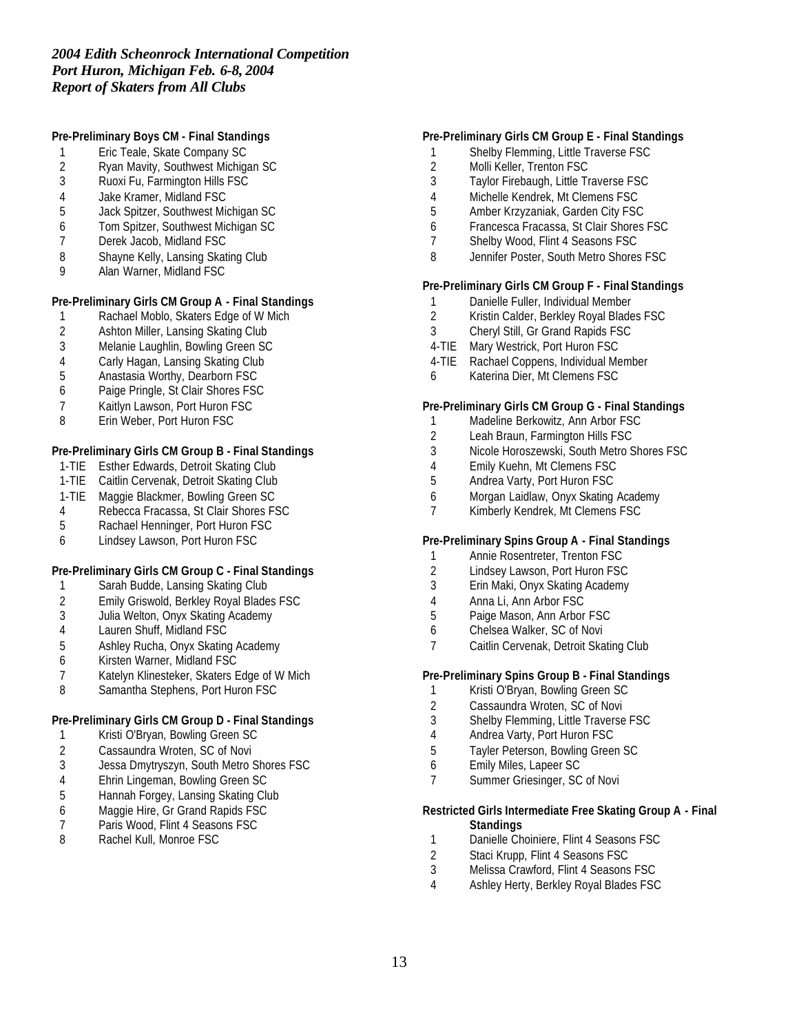# **Pre-Preliminary Boys CM - Final Standings**

- Eric Teale, Skate Company SC
- 2 Ryan Mavity, Southwest Michigan SC<br>3 Ruoxi Fu. Farmington Hills FSC
- Ruoxi Fu, Farmington Hills FSC
- Jake Kramer, Midland FSC
- Jack Spitzer, Southwest Michigan SC
- Tom Spitzer, Southwest Michigan SC
- Derek Jacob, Midland FSC
- 8 Shayne Kelly, Lansing Skating Club
- Alan Warner, Midland FSC

# **Pre-Preliminary Girls CM Group A - Final Standings**

- Rachael Moblo, Skaters Edge of W Mich
- Ashton Miller, Lansing Skating Club
- Melanie Laughlin, Bowling Green SC
- Carly Hagan, Lansing Skating Club
- Anastasia Worthy, Dearborn FSC
- Paige Pringle, St Clair Shores FSC
- Kaitlyn Lawson, Port Huron FSC
- Erin Weber, Port Huron FSC

## **Pre-Preliminary Girls CM Group B - Final Standings**

- 1-TIE Esther Edwards, Detroit Skating Club
- 1-TIE Caitlin Cervenak, Detroit Skating Club
- 1-TIE Maggie Blackmer, Bowling Green SC
- Rebecca Fracassa, St Clair Shores FSC
- Rachael Henninger, Port Huron FSC
- Lindsey Lawson, Port Huron FSC

## **Pre-Preliminary Girls CM Group C - Final Standings**

- Sarah Budde, Lansing Skating Club
- Emily Griswold, Berkley Royal Blades FSC
- Julia Welton, Onyx Skating Academy
- Lauren Shuff, Midland FSC
- Ashley Rucha, Onyx Skating Academy
- Kirsten Warner, Midland FSC
- Katelyn Klinesteker, Skaters Edge of W Mich
- 8 Samantha Stephens, Port Huron FSC

## **Pre-Preliminary Girls CM Group D - Final Standings**

- Kristi O'Bryan, Bowling Green SC
- Cassaundra Wroten, SC of Novi
- Jessa Dmytryszyn, South Metro Shores FSC
- Ehrin Lingeman, Bowling Green SC
- 5 Hannah Forgey, Lansing Skating Club<br>6 Maggie Hire, Gr Grand Rapids FSC
- 6 Maggie Hire, Gr Grand Rapids FSC<br>7 Paris Wood, Flint 4 Seasons FSC
- 7 Paris Wood, Flint 4 Seasons FSC<br>8 Rachel Kull, Monroe FSC
- Rachel Kull, Monroe FSC

#### **Pre-Preliminary Girls CM Group E - Final Standings**

- Shelby Flemming, Little Traverse FSC
- 2 Molli Keller, Trenton FSC<br>3 Tavlor Firebaugh, Little Tr
- Taylor Firebaugh, Little Traverse FSC
- Michelle Kendrek, Mt Clemens FSC
- Amber Krzyzaniak, Garden City FSC
- Francesca Fracassa, St Clair Shores FSC
- Shelby Wood, Flint 4 Seasons FSC
- Jennifer Poster, South Metro Shores FSC

## **Pre-Preliminary Girls CM Group F - Final Standings**

- 1 Danielle Fuller, Individual Member<br>2 Kristin Calder, Berkley Roval Blade
- Kristin Calder, Berkley Royal Blades FSC
- Cheryl Still, Gr Grand Rapids FSC
- 4-TIE Mary Westrick, Port Huron FSC
- 4-TIE Rachael Coppens, Individual Member
- Katerina Dier, Mt Clemens FSC

#### **Pre-Preliminary Girls CM Group G - Final Standings**

- Madeline Berkowitz, Ann Arbor FSC
- Leah Braun, Farmington Hills FSC
- Nicole Horoszewski, South Metro Shores FSC
- 4 Emily Kuehn, Mt Clemens FSC<br>5 Andrea Varty, Port Huron FSC
- Andrea Varty, Port Huron FSC
- Morgan Laidlaw, Onyx Skating Academy
- Kimberly Kendrek, Mt Clemens FSC

#### **Pre-Preliminary Spins Group A - Final Standings**

- Annie Rosentreter, Trenton FSC
- Lindsey Lawson, Port Huron FSC
- Erin Maki, Onyx Skating Academy
- Anna Li, Ann Arbor FSC
- Paige Mason, Ann Arbor FSC
- Chelsea Walker, SC of Novi
- Caitlin Cervenak, Detroit Skating Club

#### **Pre-Preliminary Spins Group B - Final Standings**

- Kristi O'Bryan, Bowling Green SC
- Cassaundra Wroten, SC of Novi
- Shelby Flemming, Little Traverse FSC
- Andrea Varty, Port Huron FSC
- Tayler Peterson, Bowling Green SC
- Emily Miles, Lapeer SC
- Summer Griesinger, SC of Novi

#### **Restricted Girls Intermediate Free Skating Group A - Final Standings**

- 1 Danielle Choiniere, Flint 4 Seasons FSC
- Staci Krupp, Flint 4 Seasons FSC
- Melissa Crawford, Flint 4 Seasons FSC
- Ashley Herty, Berkley Royal Blades FSC